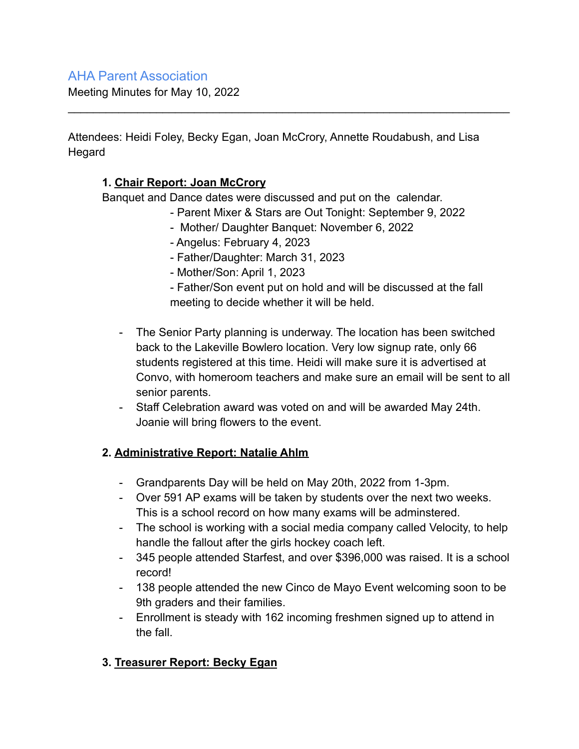## AHA Parent Association

Meeting Minutes for May 10, 2022

Attendees: Heidi Foley, Becky Egan, Joan McCrory, Annette Roudabush, and Lisa **Hegard** 

 $\mathcal{L}_\text{max} = \mathcal{L}_\text{max} = \mathcal{L}_\text{max} = \mathcal{L}_\text{max} = \mathcal{L}_\text{max} = \mathcal{L}_\text{max} = \mathcal{L}_\text{max} = \mathcal{L}_\text{max} = \mathcal{L}_\text{max} = \mathcal{L}_\text{max} = \mathcal{L}_\text{max} = \mathcal{L}_\text{max} = \mathcal{L}_\text{max} = \mathcal{L}_\text{max} = \mathcal{L}_\text{max} = \mathcal{L}_\text{max} = \mathcal{L}_\text{max} = \mathcal{L}_\text{max} = \mathcal{$ 

## **1. Chair Report: Joan McCrory**

Banquet and Dance dates were discussed and put on the calendar.

- Parent Mixer & Stars are Out Tonight: September 9, 2022
- Mother/ Daughter Banquet: November 6, 2022
- Angelus: February 4, 2023
- Father/Daughter: March 31, 2023
- Mother/Son: April 1, 2023

- Father/Son event put on hold and will be discussed at the fall meeting to decide whether it will be held.

- The Senior Party planning is underway. The location has been switched back to the Lakeville Bowlero location. Very low signup rate, only 66 students registered at this time. Heidi will make sure it is advertised at Convo, with homeroom teachers and make sure an email will be sent to all senior parents.
- Staff Celebration award was voted on and will be awarded May 24th. Joanie will bring flowers to the event.

## **2. Administrative Report: Natalie Ahlm**

- Grandparents Day will be held on May 20th, 2022 from 1-3pm.
- Over 591 AP exams will be taken by students over the next two weeks. This is a school record on how many exams will be adminstered.
- The school is working with a social media company called Velocity, to help handle the fallout after the girls hockey coach left.
- 345 people attended Starfest, and over \$396,000 was raised. It is a school record!
- 138 people attended the new Cinco de Mayo Event welcoming soon to be 9th graders and their families.
- Enrollment is steady with 162 incoming freshmen signed up to attend in the fall.

## **3. Treasurer Report: Becky Egan**